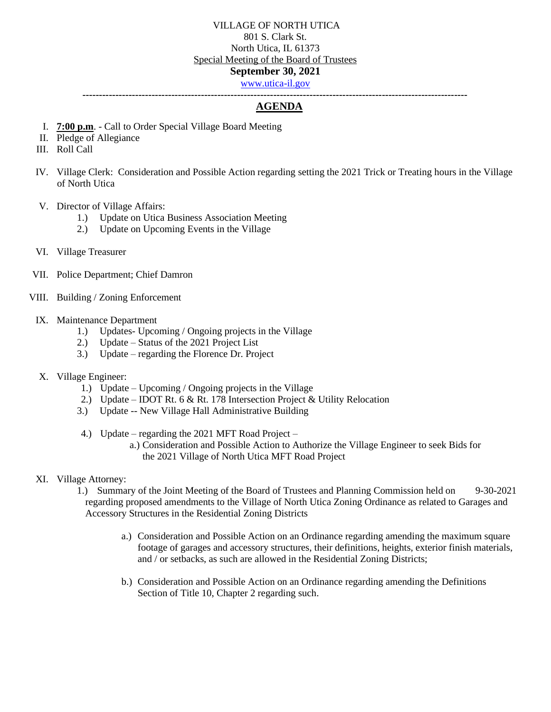**---------------------------------------------------------------------------------------------------------------------**

# **AGENDA**

- I. **7:00 p.m**. Call to Order Special Village Board Meeting
- II. Pledge of Allegiance
- III. Roll Call
- IV. Village Clerk: Consideration and Possible Action regarding setting the 2021 Trick or Treating hours in the Village of North Utica
- V. Director of Village Affairs:
	- 1.) Update on Utica Business Association Meeting
	- 2.) Update on Upcoming Events in the Village
- VI. Village Treasurer
- VII. Police Department; Chief Damron
- VIII. Building / Zoning Enforcement

#### IX. Maintenance Department

- 1.) Updates- Upcoming / Ongoing projects in the Village
- 2.) Update Status of the 2021 Project List
- 3.) Update regarding the Florence Dr. Project

#### X. Village Engineer:

- 1.) Update Upcoming / Ongoing projects in the Village
- 2.) Update IDOT Rt. 6 & Rt. 178 Intersection Project & Utility Relocation
- 3.) Update -- New Village Hall Administrative Building
- 4.) Update regarding the 2021 MFT Road Project
	- a.) Consideration and Possible Action to Authorize the Village Engineer to seek Bids for the 2021 Village of North Utica MFT Road Project

# XI. Village Attorney:

- 1.) Summary of the Joint Meeting of the Board of Trustees and Planning Commission held on 9-30-2021 regarding proposed amendments to the Village of North Utica Zoning Ordinance as related to Garages and Accessory Structures in the Residential Zoning Districts
	- a.) Consideration and Possible Action on an Ordinance regarding amending the maximum square footage of garages and accessory structures, their definitions, heights, exterior finish materials, and / or setbacks, as such are allowed in the Residential Zoning Districts;
	- b.) Consideration and Possible Action on an Ordinance regarding amending the Definitions Section of Title 10, Chapter 2 regarding such.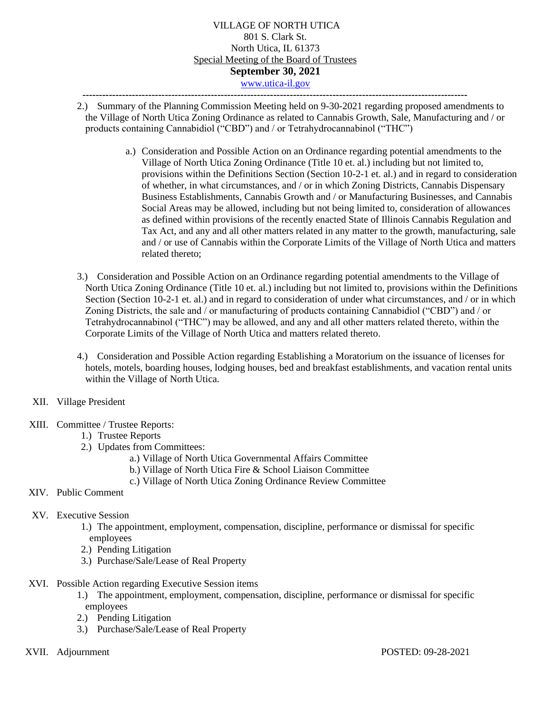- 2.) Summary of the Planning Commission Meeting held on 9-30-2021 regarding proposed amendments to the Village of North Utica Zoning Ordinance as related to Cannabis Growth, Sale, Manufacturing and / or products containing Cannabidiol ("CBD") and / or Tetrahydrocannabinol ("THC")
	- a.) Consideration and Possible Action on an Ordinance regarding potential amendments to the Village of North Utica Zoning Ordinance (Title 10 et. al.) including but not limited to, provisions within the Definitions Section (Section 10-2-1 et. al.) and in regard to consideration of whether, in what circumstances, and / or in which Zoning Districts, Cannabis Dispensary Business Establishments, Cannabis Growth and / or Manufacturing Businesses, and Cannabis Social Areas may be allowed, including but not being limited to, consideration of allowances as defined within provisions of the recently enacted State of Illinois Cannabis Regulation and Tax Act, and any and all other matters related in any matter to the growth, manufacturing, sale and / or use of Cannabis within the Corporate Limits of the Village of North Utica and matters related thereto;
- 3.) Consideration and Possible Action on an Ordinance regarding potential amendments to the Village of North Utica Zoning Ordinance (Title 10 et. al.) including but not limited to, provisions within the Definitions Section (Section 10-2-1 et. al.) and in regard to consideration of under what circumstances, and / or in which Zoning Districts, the sale and / or manufacturing of products containing Cannabidiol ("CBD") and / or Tetrahydrocannabinol ("THC") may be allowed, and any and all other matters related thereto, within the Corporate Limits of the Village of North Utica and matters related thereto.
- 4.) Consideration and Possible Action regarding Establishing a Moratorium on the issuance of licenses for hotels, motels, boarding houses, lodging houses, bed and breakfast establishments, and vacation rental units within the Village of North Utica.
- XII. Village President
- XIII. Committee / Trustee Reports:
	- 1.) Trustee Reports
	- 2.) Updates from Committees:
		- a.) Village of North Utica Governmental Affairs Committee
		- b.) Village of North Utica Fire & School Liaison Committee
		- c.) Village of North Utica Zoning Ordinance Review Committee
- XIV. Public Comment
- XV. Executive Session
	- 1.) The appointment, employment, compensation, discipline, performance or dismissal for specific employees
	- 2.) Pending Litigation
	- 3.) Purchase/Sale/Lease of Real Property
- XVI. Possible Action regarding Executive Session items
	- 1.) The appointment, employment, compensation, discipline, performance or dismissal for specific employees
	- 2.) Pending Litigation
	- 3.) Purchase/Sale/Lease of Real Property
-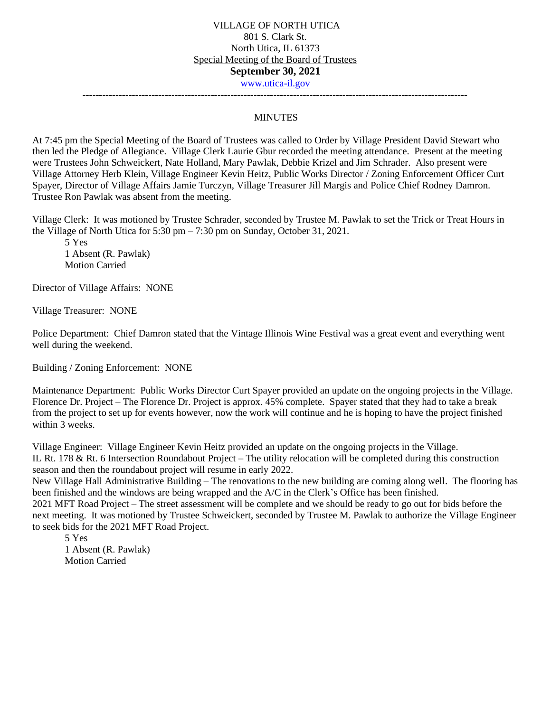**---------------------------------------------------------------------------------------------------------------------**

#### MINUTES

At 7:45 pm the Special Meeting of the Board of Trustees was called to Order by Village President David Stewart who then led the Pledge of Allegiance. Village Clerk Laurie Gbur recorded the meeting attendance. Present at the meeting were Trustees John Schweickert, Nate Holland, Mary Pawlak, Debbie Krizel and Jim Schrader. Also present were Village Attorney Herb Klein, Village Engineer Kevin Heitz, Public Works Director / Zoning Enforcement Officer Curt Spayer, Director of Village Affairs Jamie Turczyn, Village Treasurer Jill Margis and Police Chief Rodney Damron. Trustee Ron Pawlak was absent from the meeting.

Village Clerk: It was motioned by Trustee Schrader, seconded by Trustee M. Pawlak to set the Trick or Treat Hours in the Village of North Utica for 5:30 pm – 7:30 pm on Sunday, October 31, 2021.

5 Yes 1 Absent (R. Pawlak) Motion Carried

Director of Village Affairs: NONE

Village Treasurer: NONE

Police Department: Chief Damron stated that the Vintage Illinois Wine Festival was a great event and everything went well during the weekend.

Building / Zoning Enforcement: NONE

Maintenance Department: Public Works Director Curt Spayer provided an update on the ongoing projects in the Village. Florence Dr. Project – The Florence Dr. Project is approx. 45% complete. Spayer stated that they had to take a break from the project to set up for events however, now the work will continue and he is hoping to have the project finished within 3 weeks.

Village Engineer: Village Engineer Kevin Heitz provided an update on the ongoing projects in the Village. IL Rt. 178 & Rt. 6 Intersection Roundabout Project – The utility relocation will be completed during this construction season and then the roundabout project will resume in early 2022.

New Village Hall Administrative Building – The renovations to the new building are coming along well. The flooring has been finished and the windows are being wrapped and the A/C in the Clerk's Office has been finished.

2021 MFT Road Project – The street assessment will be complete and we should be ready to go out for bids before the next meeting. It was motioned by Trustee Schweickert, seconded by Trustee M. Pawlak to authorize the Village Engineer to seek bids for the 2021 MFT Road Project.

5 Yes 1 Absent (R. Pawlak) Motion Carried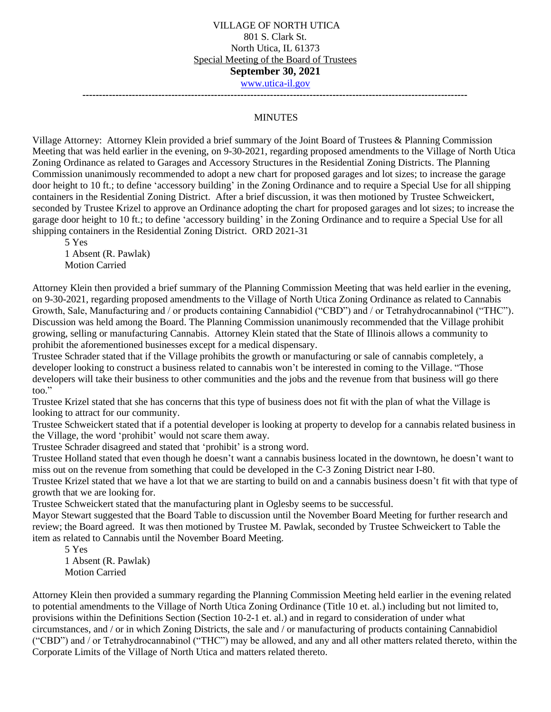**---------------------------------------------------------------------------------------------------------------------**

#### MINUTES

Village Attorney: Attorney Klein provided a brief summary of the Joint Board of Trustees & Planning Commission Meeting that was held earlier in the evening, on 9-30-2021, regarding proposed amendments to the Village of North Utica Zoning Ordinance as related to Garages and Accessory Structures in the Residential Zoning Districts. The Planning Commission unanimously recommended to adopt a new chart for proposed garages and lot sizes; to increase the garage door height to 10 ft.; to define 'accessory building' in the Zoning Ordinance and to require a Special Use for all shipping containers in the Residential Zoning District. After a brief discussion, it was then motioned by Trustee Schweickert, seconded by Trustee Krizel to approve an Ordinance adopting the chart for proposed garages and lot sizes; to increase the garage door height to 10 ft.; to define 'accessory building' in the Zoning Ordinance and to require a Special Use for all shipping containers in the Residential Zoning District. ORD 2021-31

5 Yes 1 Absent (R. Pawlak)

Motion Carried

Attorney Klein then provided a brief summary of the Planning Commission Meeting that was held earlier in the evening, on 9-30-2021, regarding proposed amendments to the Village of North Utica Zoning Ordinance as related to Cannabis Growth, Sale, Manufacturing and / or products containing Cannabidiol ("CBD") and / or Tetrahydrocannabinol ("THC"). Discussion was held among the Board. The Planning Commission unanimously recommended that the Village prohibit growing, selling or manufacturing Cannabis. Attorney Klein stated that the State of Illinois allows a community to prohibit the aforementioned businesses except for a medical dispensary.

Trustee Schrader stated that if the Village prohibits the growth or manufacturing or sale of cannabis completely, a developer looking to construct a business related to cannabis won't be interested in coming to the Village. "Those developers will take their business to other communities and the jobs and the revenue from that business will go there too."

Trustee Krizel stated that she has concerns that this type of business does not fit with the plan of what the Village is looking to attract for our community.

Trustee Schweickert stated that if a potential developer is looking at property to develop for a cannabis related business in the Village, the word 'prohibit' would not scare them away.

Trustee Schrader disagreed and stated that 'prohibit' is a strong word.

Trustee Holland stated that even though he doesn't want a cannabis business located in the downtown, he doesn't want to miss out on the revenue from something that could be developed in the C-3 Zoning District near I-80.

Trustee Krizel stated that we have a lot that we are starting to build on and a cannabis business doesn't fit with that type of growth that we are looking for.

Trustee Schweickert stated that the manufacturing plant in Oglesby seems to be successful.

Mayor Stewart suggested that the Board Table to discussion until the November Board Meeting for further research and review; the Board agreed. It was then motioned by Trustee M. Pawlak, seconded by Trustee Schweickert to Table the item as related to Cannabis until the November Board Meeting.

5 Yes 1 Absent (R. Pawlak) Motion Carried

Attorney Klein then provided a summary regarding the Planning Commission Meeting held earlier in the evening related to potential amendments to the Village of North Utica Zoning Ordinance (Title 10 et. al.) including but not limited to, provisions within the Definitions Section (Section 10-2-1 et. al.) and in regard to consideration of under what circumstances, and / or in which Zoning Districts, the sale and / or manufacturing of products containing Cannabidiol ("CBD") and / or Tetrahydrocannabinol ("THC") may be allowed, and any and all other matters related thereto, within the Corporate Limits of the Village of North Utica and matters related thereto.